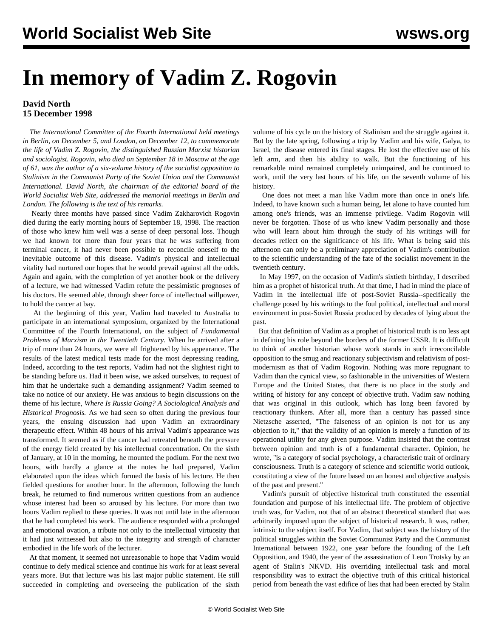## <span id="page-0-0"></span>**In memory of Vadim Z. Rogovin**

## **David North 15 December 1998**

 *The International Committee of the Fourth International held meetings in Berlin, on December 5, and London, on December 12, to commemorate the life of Vadim Z. Rogovin, the distinguished Russian Marxist historian and sociologist. Rogovin, who died on September 18 in Moscow at the age of 61, was the author of a six-volume history of the socialist opposition to Stalinism in the Communist Party of the Soviet Union and the Communist International. David North, the chairman of the editorial board of the World Socialist Web Site, addressed the memorial meetings in Berlin and London. The following is the text of his remarks.*

 Nearly three months have passed since Vadim Zakharovich Rogovin died during the early morning hours of September 18, 1998. The reaction of those who knew him well was a sense of deep personal loss. Though we had known for more than four years that he was suffering from terminal cancer, it had never been possible to reconcile oneself to the inevitable outcome of this disease. Vadim's physical and intellectual vitality had nurtured our hopes that he would prevail against all the odds. Again and again, with the completion of yet another book or the delivery of a lecture, we had witnessed Vadim refute the pessimistic prognoses of his doctors. He seemed able, through sheer force of intellectual willpower, to hold the cancer at bay.

 At the beginning of this year, Vadim had traveled to Australia to participate in an international symposium, organized by the International Committee of the Fourth International, on the subject of *Fundamental Problems of Marxism in the Twentieth Century.* When he arrived after a trip of more than 24 hours, we were all frightened by his appearance. The results of the latest medical tests made for the most depressing reading. Indeed, according to the test reports, Vadim had not the slightest right to be standing before us. Had it been wise, we asked ourselves, to request of him that he undertake such a demanding assignment? Vadim seemed to take no notice of our anxiety. He was anxious to begin discussions on the theme of his lecture, *Where Is Russia Going? A Sociological Analysis and Historical Prognosis.* As we had seen so often during the previous four years, the ensuing discussion had upon Vadim an extraordinary therapeutic effect. Within 48 hours of his arrival Vadim's appearance was transformed. It seemed as if the cancer had retreated beneath the pressure of the energy field created by his intellectual concentration. On the sixth of January, at 10 in the morning, he mounted the podium. For the next two hours, with hardly a glance at the notes he had prepared, Vadim elaborated upon the ideas which formed the basis of his lecture. He then fielded questions for another hour. In the afternoon, following the lunch break, he returned to find numerous written questions from an audience whose interest had been so aroused by his lecture. For more than two hours Vadim replied to these queries. It was not until late in the afternoon that he had completed his work. The audience responded with a prolonged and emotional ovation, a tribute not only to the intellectual virtuosity that it had just witnessed but also to the integrity and strength of character embodied in the life work of the lecturer.

 At that moment, it seemed not unreasonable to hope that Vadim would continue to defy medical science and continue his work for at least several years more. But that lecture was his last major public statement. He still succeeded in completing and overseeing the publication of the sixth

volume of his cycle on the history of Stalinism and the struggle against it. But by the late spring, following a trip by Vadim and his wife, Galya, to Israel, the disease entered its final stages. He lost the effective use of his left arm, and then his ability to walk. But the functioning of his remarkable mind remained completely unimpaired, and he continued to work, until the very last hours of his life, on the seventh volume of his history.

 One does not meet a man like Vadim more than once in one's life. Indeed, to have known such a human being, let alone to have counted him among one's friends, was an immense privilege. Vadim Rogovin will never be forgotten. Those of us who knew Vadim personally and those who will learn about him through the study of his writings will for decades reflect on the significance of his life. What is being said this afternoon can only be a preliminary appreciation of Vadim's contribution to the scientific understanding of the fate of the socialist movement in the twentieth century.

 In May 1997, on the occasion of Vadim's sixtieth birthday, I described him as a prophet of historical truth. At that time, I had in mind the place of Vadim in the intellectual life of post-Soviet Russia--specifically the challenge posed by his writings to the foul political, intellectual and moral environment in post-Soviet Russia produced by decades of lying about the past.

 But that definition of Vadim as a prophet of historical truth is no less apt in defining his role beyond the borders of the former USSR. It is difficult to think of another historian whose work stands in such irreconcilable opposition to the smug and reactionary subjectivism and relativism of postmodernism as that of Vadim Rogovin. Nothing was more repugnant to Vadim than the cynical view, so fashionable in the universities of Western Europe and the United States, that there is no place in the study and writing of history for any concept of objective truth. Vadim saw nothing that was original in this outlook, which has long been favored by reactionary thinkers. After all, more than a century has passed since Nietzsche asserted, "The falseness of an opinion is not for us any objection to it," that the validity of an opinion is merely a function of its operational utility for any given purpose. Vadim insisted that the contrast between opinion and truth is of a fundamental character. Opinion, he wrote, "is a category of social psychology, a characteristic trait of ordinary consciousness. Truth is a category of science and scientific world outlook, constituting a view of the future based on an honest and objective analysis of the past and present."

 Vadim's pursuit of objective historical truth constituted the essential foundation and purpose of his intellectual life. The problem of objective truth was, for Vadim, not that of an abstract theoretical standard that was arbitrarily imposed upon the subject of historical research. It was, rather, intrinsic to the subject itself. For Vadim, that subject was the history of the political struggles within the Soviet Communist Party and the Communist International between 1922, one year before the founding of the Left Opposition, and 1940, the year of the assassination of Leon Trotsky by an agent of Stalin's NKVD. His overriding intellectual task and moral responsibility was to extract the objective truth of this critical historical period from beneath the vast edifice of lies that had been erected by Stalin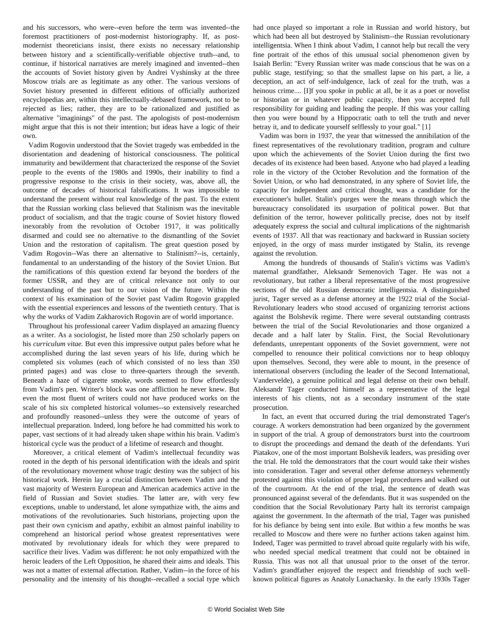<span id="page-1-0"></span>and his successors, who were--even before the term was invented--the foremost practitioners of post-modernist historiography. If, as postmodernist theoreticians insist, there exists no necessary relationship between history and a scientifically-verifiable objective truth--and, to continue, if historical narratives are merely imagined and invented--then the accounts of Soviet history given by Andrei Vyshinsky at the three Moscow trials are as legitimate as any other. The various versions of Soviet history presented in different editions of officially authorized encyclopedias are, within this intellectually-debased framework, not to be rejected as lies; rather, they are to be rationalized and justified as alternative "imaginings" of the past. The apologists of post-modernism might argue that this is not their intention; but ideas have a logic of their own.

 Vadim Rogovin understood that the Soviet tragedy was embedded in the disorientation and deadening of historical consciousness. The political immaturity and bewilderment that characterized the response of the Soviet people to the events of the 1980s and 1990s, their inability to find a progressive response to the crisis in their society, was, above all, the outcome of decades of historical falsifications. It was impossible to understand the present without real knowledge of the past. To the extent that the Russian working class believed that Stalinism was the inevitable product of socialism, and that the tragic course of Soviet history flowed inexorably from the revolution of October 1917, it was politically disarmed and could see no alternative to the dismantling of the Soviet Union and the restoration of capitalism. The great question posed by Vadim Rogovin--Was there an alternative to Stalinism?--is, certainly, fundamental to an understanding of the history of the Soviet Union. But the ramifications of this question extend far beyond the borders of the former USSR, and they are of critical relevance not only to our understanding of the past but to our vision of the future. Within the context of his examination of the Soviet past Vadim Rogovin grappled with the essential experiences and lessons of the twentieth century. That is why the works of Vadim Zakharovich Rogovin are of world importance.

 Throughout his professional career Vadim displayed an amazing fluency as a writer. As a sociologist, he listed more than 250 scholarly papers on his *curriculum vitae.* But even this impressive output pales before what he accomplished during the last seven years of his life, during which he completed six volumes (each of which consisted of no less than 350 printed pages) and was close to three-quarters through the seventh. Beneath a haze of cigarette smoke, words seemed to flow effortlessly from Vadim's pen. Writer's block was one affliction he never knew. But even the most fluent of writers could not have produced works on the scale of his six completed historical volumes--so extensively researched and profoundly reasoned--unless they were the outcome of years of intellectual preparation. Indeed, long before he had committed his work to paper, vast sections of it had already taken shape within his brain. Vadim's historical cycle was the product of a lifetime of research and thought.

 Moreover, a critical element of Vadim's intellectual fecundity was rooted in the depth of his personal identification with the ideals and spirit of the revolutionary movement whose tragic destiny was the subject of his historical work. Herein lay a crucial distinction between Vadim and the vast majority of Western European and American academics active in the field of Russian and Soviet studies. The latter are, with very few exceptions, unable to understand, let alone sympathize with, the aims and motivations of the revolutionaries. Such historians, projecting upon the past their own cynicism and apathy, exhibit an almost painful inability to comprehend an historical period whose greatest representatives were motivated by revolutionary ideals for which they were prepared to sacrifice their lives. Vadim was different: he not only empathized with the heroic leaders of the Left Opposition, he shared their aims and ideals. This was not a matter of external affectation. Rather, Vadim--in the force of his personality and the intensity of his thought--recalled a social type which

had once played so important a role in Russian and world history, but which had been all but destroyed by Stalinism--the Russian revolutionary intelligentsia. When I think about Vadim, I cannot help but recall the very fine portrait of the ethos of this unusual social phenomenon given by Isaiah Berlin: "Every Russian writer was made conscious that he was on a public stage, testifying; so that the smallest lapse on his part, a lie, a deception, an act of self-indulgence, lack of zeal for the truth, was a heinous crime.... [I]f you spoke in public at all, be it as a poet or novelist or historian or in whatever public capacity, then you accepted full responsibility for guiding and leading the people. If this was your calling then you were bound by a Hippocratic oath to tell the truth and never betray it, and to dedicate yourself selflessly to your goal." [[1](#page-0-0)]

 Vadim was born in 1937, the year that witnessed the annihilation of the finest representatives of the revolutionary tradition, program and culture upon which the achievements of the Soviet Union during the first two decades of its existence had been based. Anyone who had played a leading role in the victory of the October Revolution and the formation of the Soviet Union, or who had demonstrated, in any sphere of Soviet life, the capacity for independent and critical thought, was a candidate for the executioner's bullet. Stalin's purges were the means through which the bureaucracy consolidated its usurpation of political power. But that definition of the terror, however politically precise, does not by itself adequately express the social and cultural implications of the nightmarish events of 1937. All that was reactionary and backward in Russian society enjoyed, in the orgy of mass murder instigated by Stalin, its revenge against the revolution.

 Among the hundreds of thousands of Stalin's victims was Vadim's maternal grandfather, Aleksandr Semenovich Tager. He was not a revolutionary, but rather a liberal representative of the most progressive sections of the old Russian democratic intelligentsia. A distinguished jurist, Tager served as a defense attorney at the 1922 trial of the Social-Revolutionary leaders who stood accused of organizing terrorist actions against the Bolshevik regime. There were several outstanding contrasts between the trial of the Social Revolutionaries and those organized a decade and a half later by Stalin. First, the Social Revolutionary defendants, unrepentant opponents of the Soviet government, were not compelled to renounce their political convictions nor to heap obloquy upon themselves. Second, they were able to mount, in the presence of international observers (including the leader of the Second International, Vandervelde), a genuine political and legal defense on their own behalf. Aleksandr Tager conducted himself as a representative of the legal interests of his clients, not as a secondary instrument of the state prosecution.

 In fact, an event that occurred during the trial demonstrated Tager's courage. A workers demonstration had been organized by the government in support of the trial. A group of demonstrators burst into the courtroom to disrupt the proceedings and demand the death of the defendants. Yuri Piatakov, one of the most important Bolshevik leaders, was presiding over the trial. He told the demonstrators that the court would take their wishes into consideration. Tager and several other defense attorneys vehemently protested against this violation of proper legal procedures and walked out of the courtroom. At the end of the trial, the sentence of death was pronounced against several of the defendants. But it was suspended on the condition that the Social Revolutionary Party halt its terrorist campaign against the government. In the aftermath of the trial, Tager was punished for his defiance by being sent into exile. But within a few months he was recalled to Moscow and there were no further actions taken against him. Indeed, Tager was permitted to travel abroad quite regularly with his wife, who needed special medical treatment that could not be obtained in Russia. This was not all that unusual prior to the onset of the terror. Vadim's grandfather enjoyed the respect and friendship of such wellknown political figures as Anatoly Lunacharsky. In the early 1930s Tager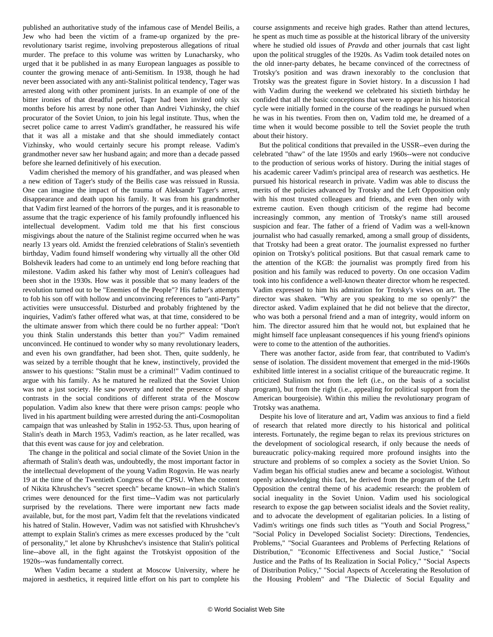<span id="page-2-0"></span>published an authoritative study of the infamous case of Mendel Beilis, a Jew who had been the victim of a frame-up organized by the prerevolutionary tsarist regime, involving preposterous allegations of ritual murder. The preface to this volume was written by Lunacharsky, who urged that it be published in as many European languages as possible to counter the growing menace of anti-Semitism. In 1938, though he had never been associated with any anti-Stalinist political tendency, Tager was arrested along with other prominent jurists. In an example of one of the bitter ironies of that dreadful period, Tager had been invited only six months before his arrest by none other than Andrei Vizhinsky, the chief procurator of the Soviet Union, to join his legal institute. Thus, when the secret police came to arrest Vadim's grandfather, he reassured his wife that it was all a mistake and that she should immediately contact Vizhinsky, who would certainly secure his prompt release. Vadim's grandmother never saw her husband again; and more than a decade passed before she learned definitively of his execution.

 Vadim cherished the memory of his grandfather, and was pleased when a new edition of Tager's study of the Beilis case was reissued in Russia. One can imagine the impact of the trauma of Aleksandr Tager's arrest, disappearance and death upon his family. It was from his grandmother that Vadim first learned of the horrors of the purges, and it is reasonable to assume that the tragic experience of his family profoundly influenced his intellectual development. Vadim told me that his first conscious misgivings about the nature of the Stalinist regime occurred when he was nearly 13 years old. Amidst the frenzied celebrations of Stalin's seventieth birthday, Vadim found himself wondering why virtually all the other Old Bolshevik leaders had come to an untimely end long before reaching that milestone. Vadim asked his father why most of Lenin's colleagues had been shot in the 1930s. How was it possible that so many leaders of the revolution turned out to be "Enemies of the People"? His father's attempts to fob his son off with hollow and unconvincing references to "anti-Party" activities were unsuccessful. Disturbed and probably frightened by the inquiries, Vadim's father offered what was, at that time, considered to be the ultimate answer from which there could be no further appeal: "Don't you think Stalin understands this better than you?" Vadim remained unconvinced. He continued to wonder why so many revolutionary leaders, and even his own grandfather, had been shot. Then, quite suddenly, he was seized by a terrible thought that he knew, instinctively, provided the answer to his questions: "Stalin must be a criminal!" Vadim continued to argue with his family. As he matured he realized that the Soviet Union was not a just society. He saw poverty and noted the presence of sharp contrasts in the social conditions of different strata of the Moscow population. Vadim also knew that there were prison camps: people who lived in his apartment building were arrested during the anti-Cosmopolitan campaign that was unleashed by Stalin in 1952-53. Thus, upon hearing of Stalin's death in March 1953, Vadim's reaction, as he later recalled, was that this event was cause for joy and celebration.

 The change in the political and social climate of the Soviet Union in the aftermath of Stalin's death was, undoubtedly, the most important factor in the intellectual development of the young Vadim Rogovin. He was nearly 19 at the time of the Twentieth Congress of the CPSU. When the content of Nikita Khrushchev's "secret speech" became known--in which Stalin's crimes were denounced for the first time--Vadim was not particularly surprised by the revelations. There were important new facts made available, but, for the most part, Vadim felt that the revelations vindicated his hatred of Stalin. However, Vadim was not satisfied with Khrushchev's attempt to explain Stalin's crimes as mere excesses produced by the "cult of personality," let alone by Khrushchev's insistence that Stalin's political line--above all, in the fight against the Trotskyist opposition of the 1920s--was fundamentally correct.

 When Vadim became a student at Moscow University, where he majored in aesthetics, it required little effort on his part to complete his course assignments and receive high grades. Rather than attend lectures, he spent as much time as possible at the historical library of the university where he studied old issues of *Pravda* and other journals that cast light upon the political struggles of the 1920s. As Vadim took detailed notes on the old inner-party debates, he became convinced of the correctness of Trotsky's position and was drawn inexorably to the conclusion that Trotsky was the greatest figure in Soviet history. In a discussion I had with Vadim during the weekend we celebrated his sixtieth birthday he confided that all the basic conceptions that were to appear in his historical cycle were initially formed in the course of the readings he pursued when he was in his twenties. From then on, Vadim told me, he dreamed of a time when it would become possible to tell the Soviet people the truth about their history.

 But the political conditions that prevailed in the USSR--even during the celebrated "thaw" of the late 1950s and early 1960s--were not conducive to the production of serious works of history. During the initial stages of his academic career Vadim's principal area of research was aesthetics. He pursued his historical research in private. Vadim was able to discuss the merits of the policies advanced by Trotsky and the Left Opposition only with his most trusted colleagues and friends, and even then only with extreme caution. Even though criticism of the regime had become increasingly common, any mention of Trotsky's name still aroused suspicion and fear. The father of a friend of Vadim was a well-known journalist who had casually remarked, among a small group of dissidents, that Trotsky had been a great orator. The journalist expressed no further opinion on Trotsky's political positions. But that casual remark came to the attention of the KGB: the journalist was promptly fired from his position and his family was reduced to poverty. On one occasion Vadim took into his confidence a well-known theater director whom he respected. Vadim expressed to him his admiration for Trotsky's views on art. The director was shaken. "Why are you speaking to me so openly?" the director asked. Vadim explained that he did not believe that the director, who was both a personal friend and a man of integrity, would inform on him. The director assured him that he would not, but explained that he might himself face unpleasant consequences if his young friend's opinions were to come to the attention of the authorities.

 There was another factor, aside from fear, that contributed to Vadim's sense of isolation. The dissident movement that emerged in the mid-1960s exhibited little interest in a socialist critique of the bureaucratic regime. It criticized Stalinism not from the left (i.e., on the basis of a socialist program), but from the right (i.e., appealing for political support from the American bourgeoisie). Within this milieu the revolutionary program of Trotsky was anathema.

 Despite his love of literature and art, Vadim was anxious to find a field of research that related more directly to his historical and political interests. Fortunately, the regime began to relax its previous strictures on the development of sociological research, if only because the needs of bureaucratic policy-making required more profound insights into the structure and problems of so complex a society as the Soviet Union. So Vadim began his official studies anew and became a sociologist. Without openly acknowledging this fact, he derived from the program of the Left Opposition the central theme of his academic research: the problem of social inequality in the Soviet Union. Vadim used his sociological research to expose the gap between socialist ideals and the Soviet reality, and to advocate the development of egalitarian policies. In a listing of Vadim's writings one finds such titles as "Youth and Social Progress," "Social Policy in Developed Socialist Society: Directions, Tendencies, Problems," "Social Guarantees and Problems of Perfecting Relations of Distribution," "Economic Effectiveness and Social Justice," "Social Justice and the Paths of Its Realization in Social Policy," "Social Aspects of Distribution Policy," "Social Aspects of Accelerating the Resolution of the Housing Problem" and "The Dialectic of Social Equality and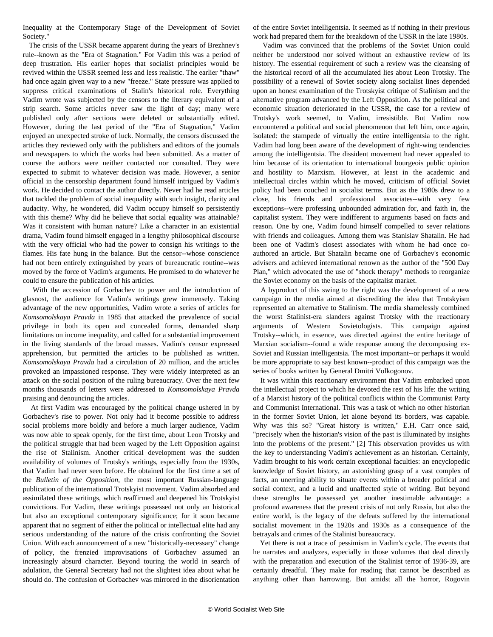<span id="page-3-0"></span>Inequality at the Contemporary Stage of the Development of Soviet Society."

 The crisis of the USSR became apparent during the years of Brezhnev's rule--known as the "Era of Stagnation." For Vadim this was a period of deep frustration. His earlier hopes that socialist principles would be revived within the USSR seemed less and less realistic. The earlier "thaw" had once again given way to a new "freeze." State pressure was applied to suppress critical examinations of Stalin's historical role. Everything Vadim wrote was subjected by the censors to the literary equivalent of a strip search. Some articles never saw the light of day; many were published only after sections were deleted or substantially edited. However, during the last period of the "Era of Stagnation," Vadim enjoyed an unexpected stroke of luck. Normally, the censors discussed the articles they reviewed only with the publishers and editors of the journals and newspapers to which the works had been submitted. As a matter of course the authors were neither contacted nor consulted. They were expected to submit to whatever decision was made. However, a senior official in the censorship department found himself intrigued by Vadim's work. He decided to contact the author directly. Never had he read articles that tackled the problem of social inequality with such insight, clarity and audacity. Why, he wondered, did Vadim occupy himself so persistently with this theme? Why did he believe that social equality was attainable? Was it consistent with human nature? Like a character in an existential drama, Vadim found himself engaged in a lengthy philosophical discourse with the very official who had the power to consign his writings to the flames. His fate hung in the balance. But the censor--whose conscience had not been entirely extinguished by years of bureaucratic routine--was moved by the force of Vadim's arguments. He promised to do whatever he could to ensure the publication of his articles.

 With the accession of Gorbachev to power and the introduction of glasnost, the audience for Vadim's writings grew immensely. Taking advantage of the new opportunities, Vadim wrote a series of articles for *Komsomolskaya Pravda* in 1985 that attacked the prevalence of social privilege in both its open and concealed forms, demanded sharp limitations on income inequality, and called for a substantial improvement in the living standards of the broad masses. Vadim's censor expressed apprehension, but permitted the articles to be published as written. *Komsomolskaya Pravda* had a circulation of 20 million, and the articles provoked an impassioned response. They were widely interpreted as an attack on the social position of the ruling bureaucracy. Over the next few months thousands of letters were addressed to *Komsomolskaya Pravda* praising and denouncing the articles.

 At first Vadim was encouraged by the political change ushered in by Gorbachev's rise to power. Not only had it become possible to address social problems more boldly and before a much larger audience, Vadim was now able to speak openly, for the first time, about Leon Trotsky and the political struggle that had been waged by the Left Opposition against the rise of Stalinism. Another critical development was the sudden availability of volumes of Trotsky's writings, especially from the 1930s, that Vadim had never seen before. He obtained for the first time a set of the *Bulletin of the Opposition*, the most important Russian-language publication of the international Trotskyist movement. Vadim absorbed and assimilated these writings, which reaffirmed and deepened his Trotskyist convictions. For Vadim, these writings possessed not only an historical but also an exceptional contemporary significance; for it soon became apparent that no segment of either the political or intellectual elite had any serious understanding of the nature of the crisis confronting the Soviet Union. With each announcement of a new "historically-necessary" change of policy, the frenzied improvisations of Gorbachev assumed an increasingly absurd character. Beyond touring the world in search of adulation, the General Secretary had not the slightest idea about what he should do. The confusion of Gorbachev was mirrored in the disorientation

of the entire Soviet intelligentsia. It seemed as if nothing in their previous work had prepared them for the breakdown of the USSR in the late 1980s.

 Vadim was convinced that the problems of the Soviet Union could neither be understood nor solved without an exhaustive review of its history. The essential requirement of such a review was the cleansing of the historical record of all the accumulated lies about Leon Trotsky. The possibility of a renewal of Soviet society along socialist lines depended upon an honest examination of the Trotskyist critique of Stalinism and the alternative program advanced by the Left Opposition. As the political and economic situation deteriorated in the USSR, the case for a review of Trotsky's work seemed, to Vadim, irresistible. But Vadim now encountered a political and social phenomenon that left him, once again, isolated: the stampede of virtually the entire intelligentsia to the right. Vadim had long been aware of the development of right-wing tendencies among the intelligentsia. The dissident movement had never appealed to him because of its orientation to international bourgeois public opinion and hostility to Marxism. However, at least in the academic and intellectual circles within which he moved, criticism of official Soviet policy had been couched in socialist terms. But as the 1980s drew to a close, his friends and professional associates--with very few exceptions--were professing unbounded admiration for, and faith in, the capitalist system. They were indifferent to arguments based on facts and reason. One by one, Vadim found himself compelled to sever relations with friends and colleagues. Among them was Stanislav Shatalin. He had been one of Vadim's closest associates with whom he had once coauthored an article. But Shatalin became one of Gorbachev's economic advisers and achieved international renown as the author of the "500 Day Plan," which advocated the use of "shock therapy" methods to reorganize the Soviet economy on the basis of the capitalist market.

 A byproduct of this swing to the right was the development of a new campaign in the media aimed at discrediting the idea that Trotskyism represented an alternative to Stalinism. The media shamelessly combined the worst Stalinist-era slanders against Trotsky with the reactionary arguments of Western Sovietologists. This campaign against Trotsky--which, in essence, was directed against the entire heritage of Marxian socialism--found a wide response among the decomposing ex-Soviet and Russian intelligentsia. The most important--or perhaps it would be more appropriate to say best known--product of this campaign was the series of books written by General Dmitri Volkogonov.

 It was within this reactionary environment that Vadim embarked upon the intellectual project to which he devoted the rest of his life: the writing of a Marxist history of the political conflicts within the Communist Party and Communist International. This was a task of which no other historian in the former Soviet Union, let alone beyond its borders, was capable. Why was this so? "Great history is written," E.H. Carr once said, "precisely when the historian's vision of the past is illuminated by insights into the problems of the present." [\[2\]](#page-1-0) This observation provides us with the key to understanding Vadim's achievement as an historian. Certainly, Vadim brought to his work certain exceptional faculties: an encyclopedic knowledge of Soviet history, an astonishing grasp of a vast complex of facts, an unerring ability to situate events within a broader political and social context, and a lucid and unaffected style of writing. But beyond these strengths he possessed yet another inestimable advantage: a profound awareness that the present crisis of not only Russia, but also the entire world, is the legacy of the defeats suffered by the international socialist movement in the 1920s and 1930s as a consequence of the betrayals and crimes of the Stalinist bureaucracy.

 Yet there is not a trace of pessimism in Vadim's cycle. The events that he narrates and analyzes, especially in those volumes that deal directly with the preparation and execution of the Stalinist terror of 1936-39, are certainly dreadful. They make for reading that cannot be described as anything other than harrowing. But amidst all the horror, Rogovin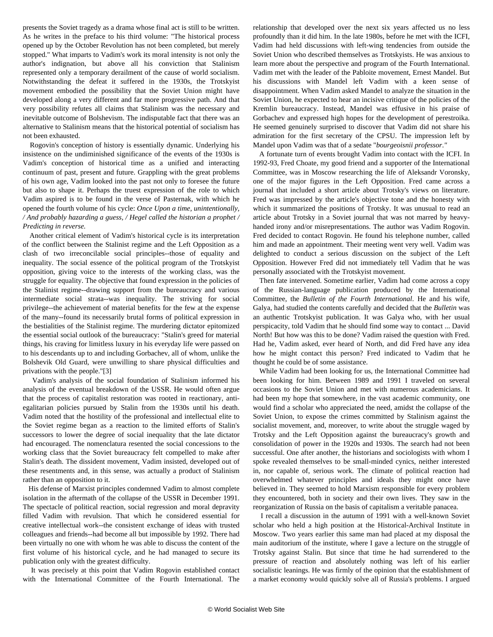presents the Soviet tragedy as a drama whose final act is still to be written. As he writes in the preface to his third volume: "The historical process opened up by the October Revolution has not been completed, but merely stopped." What imparts to Vadim's work its moral intensity is not only the author's indignation, but above all his conviction that Stalinism represented only a temporary derailment of the cause of world socialism. Notwithstanding the defeat it suffered in the 1930s, the Trotskyist movement embodied the possibility that the Soviet Union might have developed along a very different and far more progressive path. And that very possibility refutes all claims that Stalinism was the necessary and inevitable outcome of Bolshevism. The indisputable fact that there was an alternative to Stalinism means that the historical potential of socialism has not been exhausted.

 Rogovin's conception of history is essentially dynamic. Underlying his insistence on the undiminished significance of the events of the 1930s is Vadim's conception of historical time as a unified and interacting continuum of past, present and future. Grappling with the great problems of his own age, Vadim looked into the past not only to foresee the future but also to shape it. Perhaps the truest expression of the role to which Vadim aspired is to be found in the verse of Pasternak, with which he opened the fourth volume of his cycle: *Once Upon a time, unintentionally, / And probably hazarding a guess, / Hegel called the historian a prophet / Predicting in reverse.*

 Another critical element of Vadim's historical cycle is its interpretation of the conflict between the Stalinist regime and the Left Opposition as a clash of two irreconcilable social principles--those of equality and inequality. The social essence of the political program of the Trotskyist opposition, giving voice to the interests of the working class, was the struggle for equality. The objective that found expression in the policies of the Stalinist regime--drawing support from the bureaucracy and various intermediate social strata--was inequality. The striving for social privilege--the achievement of material benefits for the few at the expense of the many--found its necessarily brutal forms of political expression in the bestialities of the Stalinist regime. The murdering dictator epitomized the essential social outlook of the bureaucracy: "Stalin's greed for material things, his craving for limitless luxury in his everyday life were passed on to his descendants up to and including Gorbachev, all of whom, unlike the Bolshevik Old Guard, were unwilling to share physical difficulties and privations with the people."[\[3\]](#page-2-0)

 Vadim's analysis of the social foundation of Stalinism informed his analysis of the eventual breakdown of the USSR. He would often argue that the process of capitalist restoration was rooted in reactionary, antiegalitarian policies pursued by Stalin from the 1930s until his death. Vadim noted that the hostility of the professional and intellectual elite to the Soviet regime began as a reaction to the limited efforts of Stalin's successors to lower the degree of social inequality that the late dictator had encouraged. The nomenclatura resented the social concessions to the working class that the Soviet bureaucracy felt compelled to make after Stalin's death. The dissident movement, Vadim insisted, developed out of these resentments and, in this sense, was actually a product of Stalinism rather than an opposition to it.

 His defense of Marxist principles condemned Vadim to almost complete isolation in the aftermath of the collapse of the USSR in December 1991. The spectacle of political reaction, social regression and moral depravity filled Vadim with revulsion. That which he considered essential for creative intellectual work--the consistent exchange of ideas with trusted colleagues and friends--had become all but impossible by 1992. There had been virtually no one with whom he was able to discuss the content of the first volume of his historical cycle, and he had managed to secure its publication only with the greatest difficulty.

 It was precisely at this point that Vadim Rogovin established contact with the International Committee of the Fourth International. The

relationship that developed over the next six years affected us no less profoundly than it did him. In the late 1980s, before he met with the ICFI, Vadim had held discussions with left-wing tendencies from outside the Soviet Union who described themselves as Trotskyists. He was anxious to learn more about the perspective and program of the Fourth International. Vadim met with the leader of the Pabloite movement, Ernest Mandel. But his discussions with Mandel left Vadim with a keen sense of disappointment. When Vadim asked Mandel to analyze the situation in the Soviet Union, he expected to hear an incisive critique of the policies of the Kremlin bureaucracy. Instead, Mandel was effusive in his praise of Gorbachev and expressed high hopes for the development of perestroika. He seemed genuinely surprised to discover that Vadim did not share his admiration for the first secretary of the CPSU. The impression left by Mandel upon Vadim was that of a sedate "*bourgeoisnii professor*.*"*

 A fortunate turn of events brought Vadim into contact with the ICFI. In 1992-93, Fred Choate, my good friend and a supporter of the International Committee, was in Moscow researching the life of Aleksandr Voronsky, one of the major figures in the Left Opposition. Fred came across a journal that included a short article about Trotsky's views on literature. Fred was impressed by the article's objective tone and the honesty with which it summarized the positions of Trotsky. It was unusual to read an article about Trotsky in a Soviet journal that was not marred by heavyhanded irony and/or misrepresentations. The author was Vadim Rogovin. Fred decided to contact Rogovin. He found his telephone number, called him and made an appointment. Their meeting went very well. Vadim was delighted to conduct a serious discussion on the subject of the Left Opposition. However Fred did not immediately tell Vadim that he was personally associated with the Trotskyist movement.

 Then fate intervened. Sometime earlier, Vadim had come across a copy of the Russian-language publication produced by the International Committee, the *Bulletin of the Fourth International*. He and his wife, Galya, had studied the contents carefully and decided that the *Bulletin* was an authentic Trotskyist publication. It was Galya who, with her usual perspicacity, told Vadim that he should find some way to contact ... David North! But how was this to be done? Vadim raised the question with Fred. Had he, Vadim asked, ever heard of North, and did Fred have any idea how he might contact this person? Fred indicated to Vadim that he thought he could be of some assistance.

 While Vadim had been looking for us, the International Committee had been looking for him. Between 1989 and 1991 I traveled on several occasions to the Soviet Union and met with numerous academicians. It had been my hope that somewhere, in the vast academic community, one would find a scholar who appreciated the need, amidst the collapse of the Soviet Union, to expose the crimes committed by Stalinism against the socialist movement, and, moreover, to write about the struggle waged by Trotsky and the Left Opposition against the bureaucracy's growth and consolidation of power in the 1920s and 1930s. The search had not been successful. One after another, the historians and sociologists with whom I spoke revealed themselves to be small-minded cynics, neither interested in, nor capable of, serious work. The climate of political reaction had overwhelmed whatever principles and ideals they might once have believed in. They seemed to hold Marxism responsible for every problem they encountered, both in society and their own lives. They saw in the reorganization of Russia on the basis of capitalism a veritable panacea.

 I recall a discussion in the autumn of 1991 with a well-known Soviet scholar who held a high position at the Historical-Archival Institute in Moscow. Two years earlier this same man had placed at my disposal the main auditorium of the institute, where I gave a lecture on the struggle of Trotsky against Stalin. But since that time he had surrendered to the pressure of reaction and absolutely nothing was left of his earlier socialistic leanings. He was firmly of the opinion that the establishment of a market economy would quickly solve all of Russia's problems. I argued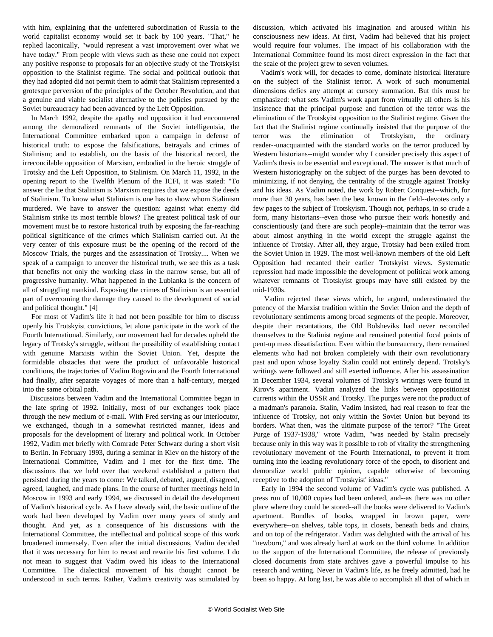with him, explaining that the unfettered subordination of Russia to the world capitalist economy would set it back by 100 years. "That," he replied laconically, "would represent a vast improvement over what we have today." From people with views such as these one could not expect any positive response to proposals for an objective study of the Trotskyist opposition to the Stalinist regime. The social and political outlook that they had adopted did not permit them to admit that Stalinism represented a grotesque perversion of the principles of the October Revolution, and that a genuine and viable socialist alternative to the policies pursued by the Soviet bureaucracy had been advanced by the Left Opposition.

 In March 1992, despite the apathy and opposition it had encountered among the demoralized remnants of the Soviet intelligentsia, the International Committee embarked upon a campaign in defense of historical truth: to expose the falsifications, betrayals and crimes of Stalinism; and to establish, on the basis of the historical record, the irreconcilable opposition of Marxism, embodied in the heroic struggle of Trotsky and the Left Opposition, to Stalinism. On March 11, 1992, in the opening report to the Twelfth Plenum of the ICFI, it was stated: "To answer the lie that Stalinism is Marxism requires that we expose the deeds of Stalinism. To know what Stalinism is one has to show whom Stalinism murdered. We have to answer the question: against what enemy did Stalinism strike its most terrible blows? The greatest political task of our movement must be to restore historical truth by exposing the far-reaching political significance of the crimes which Stalinism carried out. At the very center of this exposure must be the opening of the record of the Moscow Trials, the purges and the assassination of Trotsky.... When we speak of a campaign to uncover the historical truth, we see this as a task that benefits not only the working class in the narrow sense, but all of progressive humanity. What happened in the Lubianka is the concern of all of struggling mankind. Exposing the crimes of Stalinism is an essential part of overcoming the damage they caused to the development of social and political thought." [\[4\]](#page-3-0)

 For most of Vadim's life it had not been possible for him to discuss openly his Trotskyist convictions, let alone participate in the work of the Fourth International. Similarly, our movement had for decades upheld the legacy of Trotsky's struggle, without the possibility of establishing contact with genuine Marxists within the Soviet Union. Yet, despite the formidable obstacles that were the product of unfavorable historical conditions, the trajectories of Vadim Rogovin and the Fourth International had finally, after separate voyages of more than a half-century, merged into the same orbital path.

 Discussions between Vadim and the International Committee began in the late spring of 1992. Initially, most of our exchanges took place through the new medium of e-mail. With Fred serving as our interlocutor, we exchanged, though in a somewhat restricted manner, ideas and proposals for the development of literary and political work. In October 1992, Vadim met briefly with Comrade Peter Schwarz during a short visit to Berlin. In February 1993, during a seminar in Kiev on the history of the International Committee, Vadim and I met for the first time. The discussions that we held over that weekend established a pattern that persisted during the years to come: We talked, debated, argued, disagreed, agreed, laughed, and made plans. In the course of further meetings held in Moscow in 1993 and early 1994, we discussed in detail the development of Vadim's historical cycle. As I have already said, the basic outline of the work had been developed by Vadim over many years of study and thought. And yet, as a consequence of his discussions with the International Committee, the intellectual and political scope of this work broadened immensely. Even after the initial discussions, Vadim decided that it was necessary for him to recast and rewrite his first volume. I do not mean to suggest that Vadim owed his ideas to the International Committee. The dialectical movement of his thought cannot be understood in such terms. Rather, Vadim's creativity was stimulated by

discussion, which activated his imagination and aroused within his consciousness new ideas. At first, Vadim had believed that his project would require four volumes. The impact of his collaboration with the International Committee found its most direct expression in the fact that the scale of the project grew to seven volumes.

 Vadim's work will, for decades to come, dominate historical literature on the subject of the Stalinist terror. A work of such monumental dimensions defies any attempt at cursory summation. But this must be emphasized: what sets Vadim's work apart from virtually all others is his insistence that the principal purpose and function of the terror was the elimination of the Trotskyist opposition to the Stalinist regime. Given the fact that the Stalinist regime continually insisted that the purpose of the terror was the elimination of Trotskyism, the ordinary reader--unacquainted with the standard works on the terror produced by Western historians--might wonder why I consider precisely this aspect of Vadim's thesis to be essential and exceptional. The answer is that much of Western historiography on the subject of the purges has been devoted to minimizing, if not denying, the centrality of the struggle against Trotsky and his ideas. As Vadim noted, the work by Robert Conquest--which, for more than 30 years, has been the best known in the field--devotes only a few pages to the subject of Trotskyism. Though not, perhaps, in so crude a form, many historians--even those who pursue their work honestly and conscientiously (and there are such people)--maintain that the terror was about almost anything in the world except the struggle against the influence of Trotsky. After all, they argue, Trotsky had been exiled from the Soviet Union in 1929. The most well-known members of the old Left Opposition had recanted their earlier Trotskyist views. Systematic repression had made impossible the development of political work among whatever remnants of Trotskyist groups may have still existed by the mid-1930s.

 Vadim rejected these views which, he argued, underestimated the potency of the Marxist tradition within the Soviet Union and the depth of revolutionary sentiments among broad segments of the people. Moreover, despite their recantations, the Old Bolsheviks had never reconciled themselves to the Stalinist regime and remained potential focal points of pent-up mass dissatisfaction. Even within the bureaucracy, there remained elements who had not broken completely with their own revolutionary past and upon whose loyalty Stalin could not entirely depend. Trotsky's writings were followed and still exerted influence. After his assassination in December 1934, several volumes of Trotsky's writings were found in Kirov's apartment. Vadim analyzed the links between oppositionist currents within the USSR and Trotsky. The purges were not the product of a madman's paranoia. Stalin, Vadim insisted, had real reason to fear the influence of Trotsky, not only within the Soviet Union but beyond its borders. What then, was the ultimate purpose of the terror? "The Great Purge of 1937-1938," wrote Vadim, "was needed by Stalin precisely because only in this way was it possible to rob of vitality the strengthening revolutionary movement of the Fourth International, to prevent it from turning into the leading revolutionary force of the epoch, to disorient and demoralize world public opinion, capable otherwise of becoming receptive to the adoption of 'Trotskyist' ideas."

 Early in 1994 the second volume of Vadim's cycle was published. A press run of 10,000 copies had been ordered, and--as there was no other place where they could be stored--all the books were delivered to Vadim's apartment. Bundles of books, wrapped in brown paper, were everywhere--on shelves, table tops, in closets, beneath beds and chairs, and on top of the refrigerator. Vadim was delighted with the arrival of his "newborn," and was already hard at work on the third volume. In addition to the support of the International Committee, the release of previously closed documents from state archives gave a powerful impulse to his research and writing. Never in Vadim's life, as he freely admitted, had he been so happy. At long last, he was able to accomplish all that of which in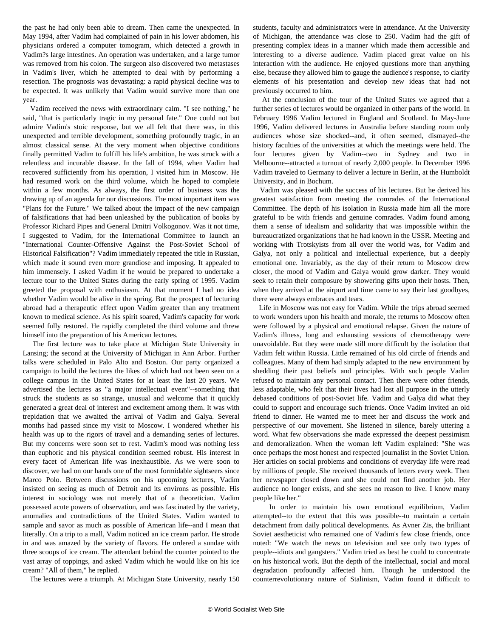the past he had only been able to dream. Then came the unexpected. In May 1994, after Vadim had complained of pain in his lower abdomen, his physicians ordered a computer tomogram, which detected a growth in Vadim?s large intestines. An operation was undertaken, and a large tumor was removed from his colon. The surgeon also discovered two metastases in Vadim's liver, which he attempted to deal with by performing a resection. The prognosis was devastating: a rapid physical decline was to be expected. It was unlikely that Vadim would survive more than one year.

 Vadim received the news with extraordinary calm. "I see nothing," he said, "that is particularly tragic in my personal fate." One could not but admire Vadim's stoic response, but we all felt that there was, in this unexpected and terrible development, something profoundly tragic, in an almost classical sense. At the very moment when objective conditions finally permitted Vadim to fulfill his life's ambition, he was struck with a relentless and incurable disease. In the fall of 1994, when Vadim had recovered sufficiently from his operation, I visited him in Moscow. He had resumed work on the third volume, which he hoped to complete within a few months. As always, the first order of business was the drawing up of an agenda for our discussions. The most important item was "Plans for the Future." We talked about the impact of the new campaign of falsifications that had been unleashed by the publication of books by Professor Richard Pipes and General Dmitri Volkogonov. Was it not time, I suggested to Vadim, for the International Committee to launch an "International Counter-Offensive Against the Post-Soviet School of Historical Falsification"? Vadim immediately repeated the title in Russian, which made it sound even more grandiose and imposing. It appealed to him immensely. I asked Vadim if he would be prepared to undertake a lecture tour to the United States during the early spring of 1995. Vadim greeted the proposal with enthusiasm. At that moment I had no idea whether Vadim would be alive in the spring. But the prospect of lecturing abroad had a therapeutic effect upon Vadim greater than any treatment known to medical science. As his spirit soared, Vadim's capacity for work seemed fully restored. He rapidly completed the third volume and threw himself into the preparation of his American lectures.

 The first lecture was to take place at Michigan State University in Lansing; the second at the University of Michigan in Ann Arbor. Further talks were scheduled in Palo Alto and Boston. Our party organized a campaign to build the lectures the likes of which had not been seen on a college campus in the United States for at least the last 20 years. We advertised the lectures as "a major intellectual event"--something that struck the students as so strange, unusual and welcome that it quickly generated a great deal of interest and excitement among them. It was with trepidation that we awaited the arrival of Vadim and Galya. Several months had passed since my visit to Moscow. I wondered whether his health was up to the rigors of travel and a demanding series of lectures. But my concerns were soon set to rest. Vadim's mood was nothing less than euphoric and his physical condition seemed robust. His interest in every facet of American life was inexhaustible. As we were soon to discover, we had on our hands one of the most formidable sightseers since Marco Polo. Between discussions on his upcoming lectures, Vadim insisted on seeing as much of Detroit and its environs as possible. His interest in sociology was not merely that of a theoretician. Vadim possessed acute powers of observation, and was fascinated by the variety, anomalies and contradictions of the United States. Vadim wanted to sample and savor as much as possible of American life--and I mean that literally. On a trip to a mall, Vadim noticed an ice cream parlor. He strode in and was amazed by the variety of flavors. He ordered a sundae with three scoops of ice cream. The attendant behind the counter pointed to the vast array of toppings, and asked Vadim which he would like on his ice cream? "All of them," he replied.

The lectures were a triumph. At Michigan State University, nearly 150

students, faculty and administrators were in attendance. At the University of Michigan, the attendance was close to 250. Vadim had the gift of presenting complex ideas in a manner which made them accessible and interesting to a diverse audience. Vadim placed great value on his interaction with the audience. He enjoyed questions more than anything else, because they allowed him to gauge the audience's response, to clarify elements of his presentation and develop new ideas that had not previously occurred to him.

 At the conclusion of the tour of the United States we agreed that a further series of lectures would be organized in other parts of the world. In February 1996 Vadim lectured in England and Scotland. In May-June 1996, Vadim delivered lectures in Australia before standing room only audiences whose size shocked--and, it often seemed, dismayed--the history faculties of the universities at which the meetings were held. The four lectures given by Vadim--two in Sydney and two in Melbourne--attracted a turnout of nearly 2,000 people. In December 1996 Vadim traveled to Germany to deliver a lecture in Berlin, at the Humboldt University, and in Bochum.

 Vadim was pleased with the success of his lectures. But he derived his greatest satisfaction from meeting the comrades of the International Committee. The depth of his isolation in Russia made him all the more grateful to be with friends and genuine comrades. Vadim found among them a sense of idealism and solidarity that was impossible within the bureaucratized organizations that he had known in the USSR. Meeting and working with Trotskyists from all over the world was, for Vadim and Galya, not only a political and intellectual experience, but a deeply emotional one. Invariably, as the day of their return to Moscow drew closer, the mood of Vadim and Galya would grow darker. They would seek to retain their composure by showering gifts upon their hosts. Then, when they arrived at the airport and time came to say their last goodbyes, there were always embraces and tears.

 Life in Moscow was not easy for Vadim. While the trips abroad seemed to work wonders upon his health and morale, the returns to Moscow often were followed by a physical and emotional relapse. Given the nature of Vadim's illness, long and exhausting sessions of chemotherapy were unavoidable. But they were made still more difficult by the isolation that Vadim felt within Russia. Little remained of his old circle of friends and colleagues. Many of them had simply adapted to the new environment by shedding their past beliefs and principles. With such people Vadim refused to maintain any personal contact. Then there were other friends, less adaptable, who felt that their lives had lost all purpose in the utterly debased conditions of post-Soviet life. Vadim and Galya did what they could to support and encourage such friends. Once Vadim invited an old friend to dinner. He wanted me to meet her and discuss the work and perspective of our movement. She listened in silence, barely uttering a word. What few observations she made expressed the deepest pessimism and demoralization. When the woman left Vadim explained: "She was once perhaps the most honest and respected journalist in the Soviet Union. Her articles on social problems and conditions of everyday life were read by millions of people. She received thousands of letters every week. Then her newspaper closed down and she could not find another job. Her audience no longer exists, and she sees no reason to live. I know many people like her."

 In order to maintain his own emotional equilibrium, Vadim attempted--to the extent that this was possible--to maintain a certain detachment from daily political developments. As Avner Zis, the brilliant Soviet aestheticist who remained one of Vadim's few close friends, once noted: "We watch the news on television and see only two types of people--idiots and gangsters." Vadim tried as best he could to concentrate on his historical work. But the depth of the intellectual, social and moral degradation profoundly affected him. Though he understood the counterrevolutionary nature of Stalinism, Vadim found it difficult to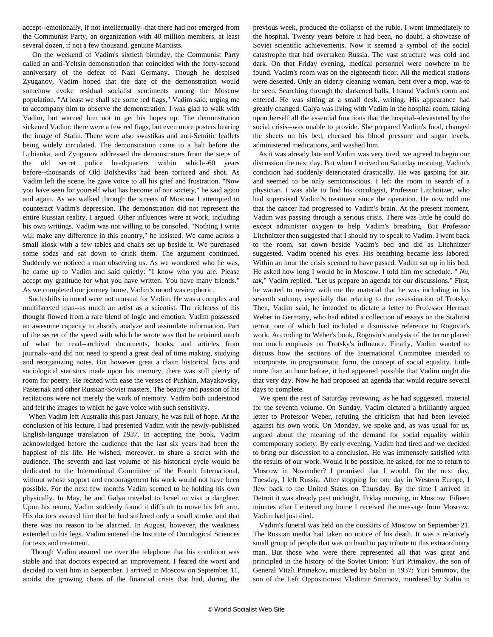accept--emotionally, if not intellectually--that there had not emerged from the Communist Party, an organization with 40 million members, at least several dozen, if not a few thousand, genuine Marxists.

 On the weekend of Vadim's sixtieth birthday, the Communist Party called an anti-Yeltsin demonstration that coincided with the forty-second anniversary of the defeat of Nazi Germany. Though he despised Zyuganov, Vadim hoped that the date of the demonstration would somehow evoke residual socialist sentiments among the Moscow population. "At least we shall see some red flags," Vadim said, urging me to accompany him to observe the demonstration. I was glad to walk with Vadim, but warned him not to get his hopes up. The demonstration sickened Vadim: there were a few red flags, but even more posters bearing the image of Stalin. There were also swastikas and anti-Semitic leaflets being widely circulated. The demonstration came to a halt before the Lubianka, and Zyuganov addressed the demonstrators from the steps of the old secret police headquarters within which--60 years before--thousands of Old Bolsheviks had been tortured and shot. As Vadim left the scene, he gave voice to all his grief and frustration. "Now you have seen for yourself what has become of our society," he said again and again. As we walked through the streets of Moscow I attempted to counteract Vadim's depression. The demonstration did not represent the entire Russian reality, I argued. Other influences were at work, including his own writings. Vadim was not willing to be consoled. "Nothing I write will make any difference in this country," he insisted. We came across a small kiosk with a few tables and chairs set up beside it. We purchased some sodas and sat down to drink them. The argument continued. Suddenly we noticed a man observing us. As we wondered who he was, he came up to Vadim and said quietly: "I know who you are. Please accept my gratitude for what you have written. You have many friends." As we completed our journey home, Vadim's mood was euphoric.

 Such shifts in mood were not unusual for Vadim. He was a complex and multifaceted man--as much an artist as a scientist. The richness of his thought flowed from a rare blend of logic and emotion. Vadim possessed an awesome capacity to absorb, analyze and assimilate information. Part of the secret of the speed with which he wrote was that he retained much of what he read--archival documents, books, and articles from journals--and did not need to spend a great deal of time making, studying and reorganizing notes. But however great a claim historical facts and sociological statistics made upon his memory, there was still plenty of room for poetry. He recited with ease the verses of Pushkin, Mayakovsky, Pasternak and other Russian-Soviet masters. The beauty and passion of his recitations were not merely the work of memory. Vadim both understood and felt the images to which he gave voice with such sensitivity.

 When Vadim left Australia this past January, he was full of hope. At the conclusion of his lecture, I had presented Vadim with the newly-published English-language translation of *1937.* In accepting the book, Vadim acknowledged before the audience that the last six years had been the happiest of his life. He wished, moreover, to share a secret with the audience. The seventh and last volume of his historical cycle would be dedicated to the International Committee of the Fourth International, without whose support and encouragement his work would not have been possible. For the next few months Vadim seemed to be holding his own physically. In May, he and Galya traveled to Israel to visit a daughter. Upon his return, Vadim suddenly found it difficult to move his left arm. His doctors assured him that he had suffered only a small stroke, and that there was no reason to be alarmed. In August, however, the weakness extended to his legs. Vadim entered the Institute of Oncological Sciences for tests and treatment.

 Though Vadim assured me over the telephone that his condition was stable and that doctors expected an improvement, I feared the worst and decided to visit him in September. I arrived in Moscow on September 11, amidst the growing chaos of the financial crisis that had, during the previous week, produced the collapse of the ruble. I went immediately to the hospital. Twenty years before it had been, no doubt, a showcase of Soviet scientific achievements. Now it seemed a symbol of the social catastrophe that had overtaken Russia. The vast structure was cold and dark. On that Friday evening, medical personnel were nowhere to be found. Vadim's room was on the eighteenth floor. All the medical stations were deserted. Only an elderly cleaning woman, bent over a mop, was to be seen. Searching through the darkened halls, I found Vadim's room and entered. He was sitting at a small desk, writing. His appearance had greatly changed. Galya was living with Vadim in the hospital room, taking upon herself all the essential functions that the hospital--devastated by the social crisis--was unable to provide. She prepared Vadim's food, changed the sheets on his bed, checked his blood pressure and sugar levels, administered medications, and washed him.

 As it was already late and Vadim was very tired, we agreed to begin our discussion the next day. But when I arrived on Saturday morning, Vadim's condition had suddenly deteriorated drastically. He was gasping for air, and seemed to be only semiconscious. I left the room in search of a physician. I was able to find his oncologist, Professor Litchnitzer, who had supervised Vadim?s treatment since the operation. He now told me that the cancer had progressed to Vadim's brain. At the present moment, Vadim was passing through a serious crisis. There was little he could do except administer oxygen to help Vadim's breathing. But Professor Litchnitzer then suggested that I should try to speak to Vadim. I went back to the room, sat down beside Vadim's bed and did as Litchnitzer suggested. Vadim opened his eyes. His breathing became less labored. Within an hour the crisis seemed to have passed. Vadim sat up in his bed. He asked how long I would be in Moscow. I told him my schedule. " *Nu, tak*," Vadim replied. "Let us prepare an agenda for our discussions." First, he wanted to review with me the material that he was including in his seventh volume, especially that relating to the assassination of Trotsky. Then, Vadim said, he intended to dictate a letter to Professor Herman Weber in Germany, who had edited a collection of essays on the Stalinist terror, one of which had included a dismissive reference to Rogovin's work. According to Weber's book, Rogovin's analysis of the terror placed too much emphasis on Trotsky's influence. Finally, Vadim wanted to discuss how the sections of the International Committee intended to incorporate, in programmatic form, the concept of social equality. Little more than an hour before, it had appeared possible that Vadim might die that very day. Now he had proposed an agenda that would require several days to complete.

 We spent the rest of Saturday reviewing, as he had suggested, material for the seventh volume. On Sunday, Vadim dictated a brilliantly argued letter to Professor Weber, refuting the criticism that had been leveled against his own work. On Monday, we spoke and, as was usual for us, argued about the meaning of the demand for social equality within contemporary society. By early evening, Vadim had tired and we decided to bring our discussion to a conclusion. He was immensely satisfied with the results of our work. Would it be possible, he asked, for me to return to Moscow in November? I promised that I would. On the next day, Tuesday, I left Russia. After stopping for one day in Western Europe, I flew back to the United States on Thursday. By the time I arrived in Detroit it was already past midnight, Friday morning, in Moscow. Fifteen minutes after I entered my home I received the message from Moscow. Vadim had just died.

 Vadim's funeral was held on the outskirts of Moscow on September 21. The Russian media had taken no notice of his death. It was a relatively small group of people that was on hand to pay tribute to this extraordinary man. But those who were there represented all that was great and principled in the history of the Soviet Union: Yuri Primakov, the son of General Vitali Primakov, murdered by Stalin in 1937; Yuri Smirnov, the son of the Left Oppositionist Vladimir Smirnov, murdered by Stalin in